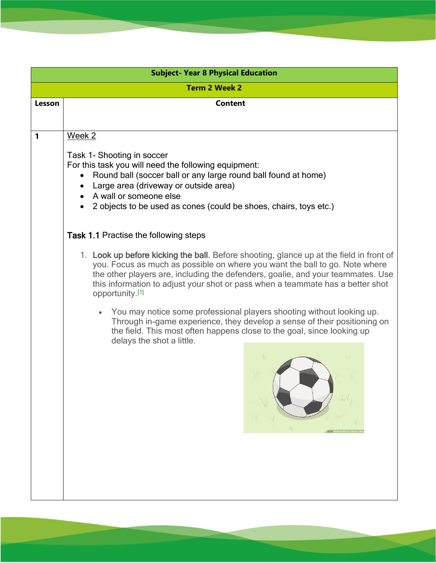| <b>Subject- Year 8 Physical Education</b> |                                                                                                                                                                                                                                                                                                                                                                |  |
|-------------------------------------------|----------------------------------------------------------------------------------------------------------------------------------------------------------------------------------------------------------------------------------------------------------------------------------------------------------------------------------------------------------------|--|
| <b>Term 2 Week 2</b>                      |                                                                                                                                                                                                                                                                                                                                                                |  |
| Lesson                                    | <b>Content</b>                                                                                                                                                                                                                                                                                                                                                 |  |
|                                           |                                                                                                                                                                                                                                                                                                                                                                |  |
| 1                                         | Week 2                                                                                                                                                                                                                                                                                                                                                         |  |
|                                           | Task 1- Shooting in soccer<br>For this task you will need the following equipment:<br>Round ball (soccer ball or any large round ball found at home)<br>$\bullet$<br>Large area (driveway or outside area)<br>A wall or someone else<br>2 objects to be used as cones (could be shoes, chairs, toys etc.)                                                      |  |
|                                           | <b>Task 1.1 Practise the following steps</b>                                                                                                                                                                                                                                                                                                                   |  |
|                                           | 1. Look up before kicking the ball. Before shooting, glance up at the field in front of<br>you. Focus as much as possible on where you want the ball to go. Note where<br>the other players are, including the defenders, goalie, and your teammates. Use<br>this information to adjust your shot or pass when a teammate has a better shot<br>opportunity.[1] |  |
|                                           | You may notice some professional players shooting without looking up.<br>Through in-game experience, they develop a sense of their positioning on<br>the field. This most often happens close to the goal, since looking up<br>delays the shot a little.                                                                                                       |  |
|                                           |                                                                                                                                                                                                                                                                                                                                                                |  |
|                                           |                                                                                                                                                                                                                                                                                                                                                                |  |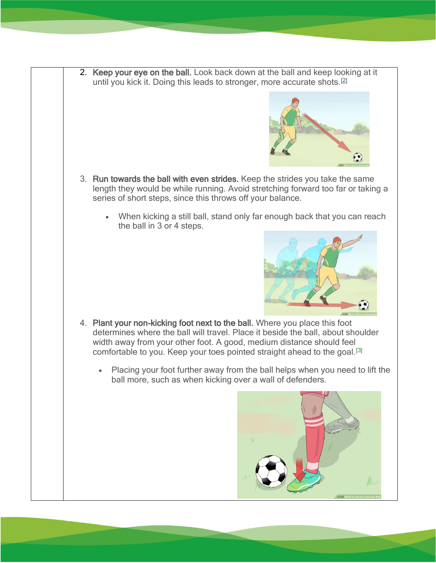2. Keep your eye on the ball. Look back down at the ball and keep looking at it until you kick it. Doing this leads to stronger, more accurate shots.<sup>[\[2\]](https://www.wikihow.com/Shoot-a-Soccer-Ball#_note-2)</sup>



- 3. Run towards the ball with even strides. Keep the strides you take the same length they would be while running. Avoid stretching forward too far or taking a series of short steps, since this throws off your balance.
	- When kicking a still ball, stand only far enough back that you can reach the ball in 3 or 4 steps.



- 4. Plant your non-kicking foot next to the ball. Where you place this foot determines where the ball will travel. Place it beside the ball, about shoulder width away from your other foot. A good, medium distance should feel comfortable to you. Keep your toes pointed straight ahead to the goal.<sup>[\[3\]](https://www.wikihow.com/Shoot-a-Soccer-Ball#_note-3)</sup>
	- Placing your foot further away from the ball helps when you need to lift the ball more, such as when kicking over a wall of defenders.

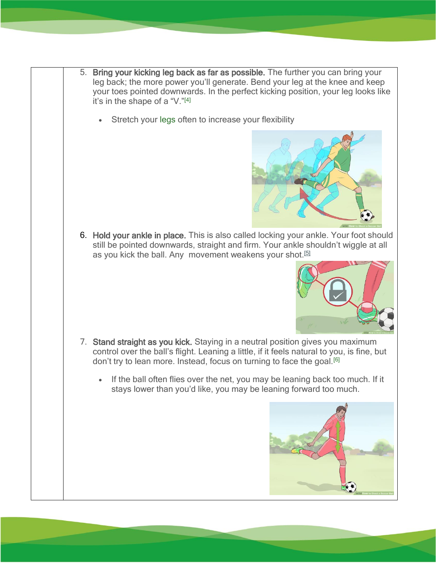- 5. Bring your kicking leg back as far as possible. The further you can bring your leg back; the more power you'll generate. Bend your leg at the knee and keep your toes pointed downwards. In the perfect kicking position, your leg looks like it's in the shape of a "V."[\[4\]](https://www.wikihow.com/Shoot-a-Soccer-Ball#_note-4)
	- Stretch your [legs](https://www.wikihow.com/Stretch-Your-Legs) often to increase your flexibility



6. Hold your ankle in place. This is also called locking your ankle. Your foot should still be pointed downwards, straight and firm. Your ankle shouldn't wiggle at all as you kick the ball. Any movement weakens your shot.<sup>[\[5\]](https://www.wikihow.com/Shoot-a-Soccer-Ball#_note-5)</sup>



- 7. Stand straight as you kick. Staying in a neutral position gives you maximum control over the ball's flight. Leaning a little, if it feels natural to you, is fine, but don't try to lean more. Instead, focus on turning to face the goal.<sup>[\[6\]](https://www.wikihow.com/Shoot-a-Soccer-Ball#_note-6)</sup>
	- If the ball often flies over the net, you may be leaning back too much. If it stays lower than you'd like, you may be leaning forward too much.

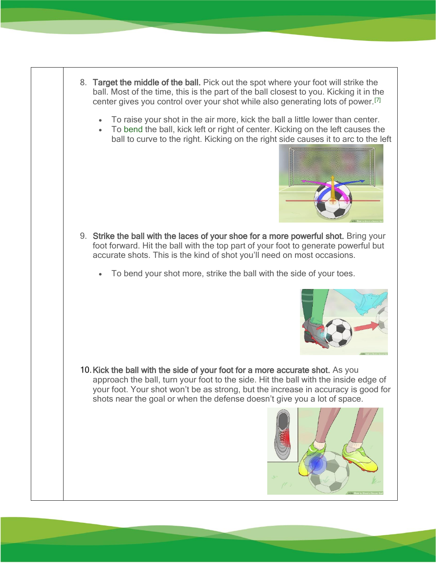- 8. Target the middle of the ball. Pick out the spot where your foot will strike the ball. Most of the time, this is the part of the ball closest to you. Kicking it in the center gives you control over your shot while also generating lots of power.[\[7\]](https://www.wikihow.com/Shoot-a-Soccer-Ball#_note-7)
	- To raise your shot in the air more, kick the ball a little lower than center.
	- To [bend](https://www.wikihow.com/Bend-a-Soccer-Ball) the ball, kick left or right of center. Kicking on the left causes the ball to curve to the right. Kicking on the right side causes it to arc to the left



- 9. Strike the ball with the laces of your shoe for a more powerful shot. Bring your foot forward. Hit the ball with the top part of your foot to generate powerful but accurate shots. This is the kind of shot you'll need on most occasions.
	- To bend your shot more, strike the ball with the side of your toes.



10.Kick the ball with the side of your foot for a more accurate shot. As you approach the ball, turn your foot to the side. Hit the ball with the inside edge of your foot. Your shot won't be as strong, but the increase in accuracy is good for shots near the goal or when the defense doesn't give you a lot of space.